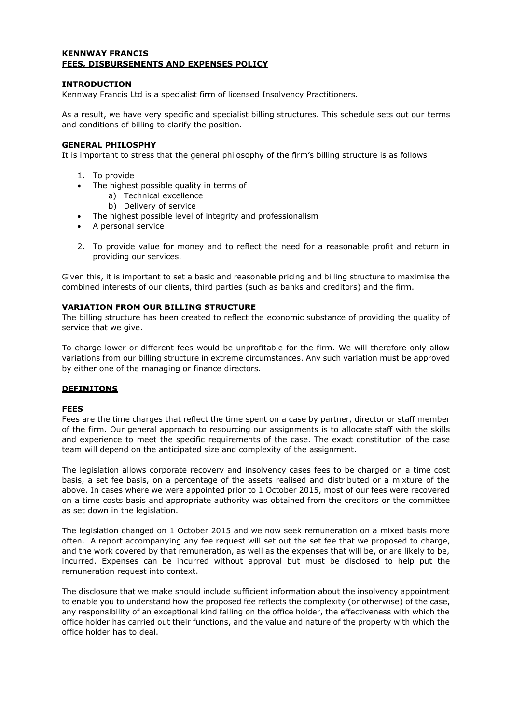## **KENNWAY FRANCIS FEES, DISBURSEMENTS AND EXPENSES POLICY**

## **INTRODUCTION**

Kennway Francis Ltd is a specialist firm of licensed Insolvency Practitioners.

As a result, we have very specific and specialist billing structures. This schedule sets out our terms and conditions of billing to clarify the position.

## **GENERAL PHILOSPHY**

It is important to stress that the general philosophy of the firm's billing structure is as follows

- 1. To provide
- The highest possible quality in terms of
	- a) Technical excellence
	- b) Delivery of service
- The highest possible level of integrity and professionalism
- A personal service
- 2. To provide value for money and to reflect the need for a reasonable profit and return in providing our services.

Given this, it is important to set a basic and reasonable pricing and billing structure to maximise the combined interests of our clients, third parties (such as banks and creditors) and the firm.

## **VARIATION FROM OUR BILLING STRUCTURE**

The billing structure has been created to reflect the economic substance of providing the quality of service that we give.

To charge lower or different fees would be unprofitable for the firm. We will therefore only allow variations from our billing structure in extreme circumstances. Any such variation must be approved by either one of the managing or finance directors.

# **DEFINITONS**

### **FEES**

Fees are the time charges that reflect the time spent on a case by partner, director or staff member of the firm. Our general approach to resourcing our assignments is to allocate staff with the skills and experience to meet the specific requirements of the case. The exact constitution of the case team will depend on the anticipated size and complexity of the assignment.

The legislation allows corporate recovery and insolvency cases fees to be charged on a time cost basis, a set fee basis, on a percentage of the assets realised and distributed or a mixture of the above. In cases where we were appointed prior to 1 October 2015, most of our fees were recovered on a time costs basis and appropriate authority was obtained from the creditors or the committee as set down in the legislation.

The legislation changed on 1 October 2015 and we now seek remuneration on a mixed basis more often. A report accompanying any fee request will set out the set fee that we proposed to charge, and the work covered by that remuneration, as well as the expenses that will be, or are likely to be, incurred. Expenses can be incurred without approval but must be disclosed to help put the remuneration request into context.

The disclosure that we make should include sufficient information about the insolvency appointment to enable you to understand how the proposed fee reflects the complexity (or otherwise) of the case, any responsibility of an exceptional kind falling on the office holder, the effectiveness with which the office holder has carried out their functions, and the value and nature of the property with which the office holder has to deal.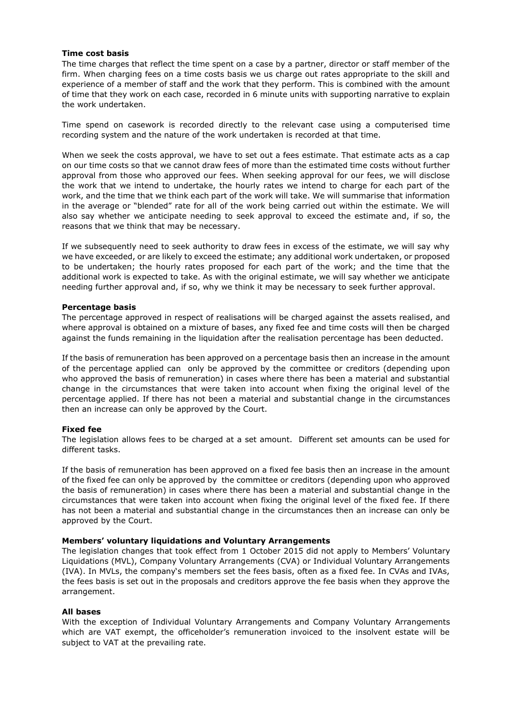#### **Time cost basis**

The time charges that reflect the time spent on a case by a partner, director or staff member of the firm. When charging fees on a time costs basis we us charge out rates appropriate to the skill and experience of a member of staff and the work that they perform. This is combined with the amount of time that they work on each case, recorded in 6 minute units with supporting narrative to explain the work undertaken.

Time spend on casework is recorded directly to the relevant case using a computerised time recording system and the nature of the work undertaken is recorded at that time.

When we seek the costs approval, we have to set out a fees estimate. That estimate acts as a cap on our time costs so that we cannot draw fees of more than the estimated time costs without further approval from those who approved our fees. When seeking approval for our fees, we will disclose the work that we intend to undertake, the hourly rates we intend to charge for each part of the work, and the time that we think each part of the work will take. We will summarise that information in the average or "blended" rate for all of the work being carried out within the estimate. We will also say whether we anticipate needing to seek approval to exceed the estimate and, if so, the reasons that we think that may be necessary.

If we subsequently need to seek authority to draw fees in excess of the estimate, we will say why we have exceeded, or are likely to exceed the estimate; any additional work undertaken, or proposed to be undertaken; the hourly rates proposed for each part of the work; and the time that the additional work is expected to take. As with the original estimate, we will say whether we anticipate needing further approval and, if so, why we think it may be necessary to seek further approval.

#### **Percentage basis**

The percentage approved in respect of realisations will be charged against the assets realised, and where approval is obtained on a mixture of bases, any fixed fee and time costs will then be charged against the funds remaining in the liquidation after the realisation percentage has been deducted.

If the basis of remuneration has been approved on a percentage basis then an increase in the amount of the percentage applied can only be approved by the committee or creditors (depending upon who approved the basis of remuneration) in cases where there has been a material and substantial change in the circumstances that were taken into account when fixing the original level of the percentage applied. If there has not been a material and substantial change in the circumstances then an increase can only be approved by the Court.

### **Fixed fee**

The legislation allows fees to be charged at a set amount. Different set amounts can be used for different tasks.

If the basis of remuneration has been approved on a fixed fee basis then an increase in the amount of the fixed fee can only be approved by the committee or creditors (depending upon who approved the basis of remuneration) in cases where there has been a material and substantial change in the circumstances that were taken into account when fixing the original level of the fixed fee. If there has not been a material and substantial change in the circumstances then an increase can only be approved by the Court.

#### **Members' voluntary liquidations and Voluntary Arrangements**

The legislation changes that took effect from 1 October 2015 did not apply to Members' Voluntary Liquidations (MVL), Company Voluntary Arrangements (CVA) or Individual Voluntary Arrangements (IVA). In MVLs, the company's members set the fees basis, often as a fixed fee. In CVAs and IVAs, the fees basis is set out in the proposals and creditors approve the fee basis when they approve the arrangement.

#### **All bases**

With the exception of Individual Voluntary Arrangements and Company Voluntary Arrangements which are VAT exempt, the officeholder's remuneration invoiced to the insolvent estate will be subject to VAT at the prevailing rate.